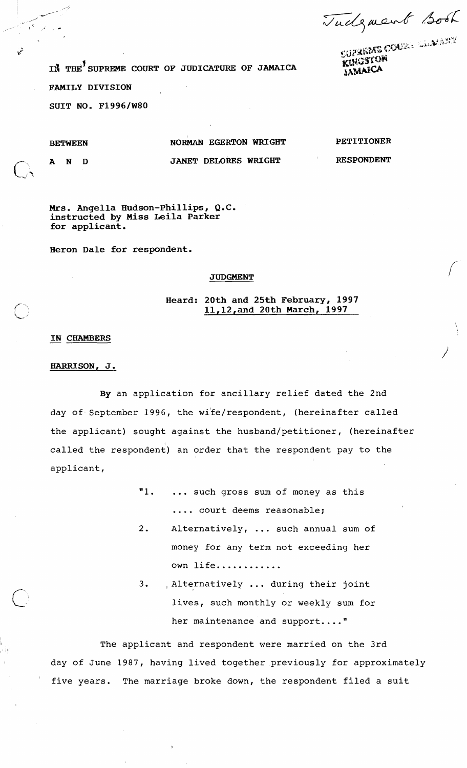Tudgment Book

**1<sup>8</sup> THE<sup>1</sup> SUPREME COURT OF JUDICATURE OF JAMAICA FAMILY DIVISION SUIT NO. F1996/W80**  CATURE OF JAMAICA<br>
EGERTON WRIGHT<br>
DELORES WRIGHT<br>
DELORES WRIGHT<br>
PETITIONER<br>
PETITIONER<br>
PETITIONER<br>
PETITIONER<br>
PETITIONER<br>
PETITIONER<br>
PETITIONER<br>
PETITIONER<br>
PETITIONER<br>
RESPONDENT<br>
PETITIONER<br>
RESPONDENT<br>
PETITIONER<br>

D

N

A

 $\mathcal{L}^{\mathcal{S}}$ 

## BETWEEN NORMAN EGERTON WRIGHT PETITIONER

JANET DELORES WRIGHT **RESPONDENT** 

**Mrs. Angella Hudson-Phillips, Q.C. instructed by Miss Leila Parker** 

**Heron Dale for respondent.** 

## **JUDGMENT**

**Heard: 20th and 25th February, 1997** 

## - **IN CHAMBERS**

**for applicant.** 

## **HARRISON, J.**

111

' I

By an application for ancillary relief dated the 2nd day of September 1996, the wife/respondent, (hereinafter called the applicant) sought against the husband/petitioner, (hereinafter called the respondent) an order that the respondent pay to the applicant,

| "1.  such gross sum of money as this |
|--------------------------------------|
| court deems reasonable;              |

- 2. Alternatively, ... such annual sum of money for any term not exceeding her own life............
- 3. , Alternatively ... during their joint lives, such monthly or weekly sum for her maintenance and support...."

The applicant and respondent were married on the 3rd day of June 1987, having lived together previously for approximately five years. The marriage broke down, the respondent filed a suit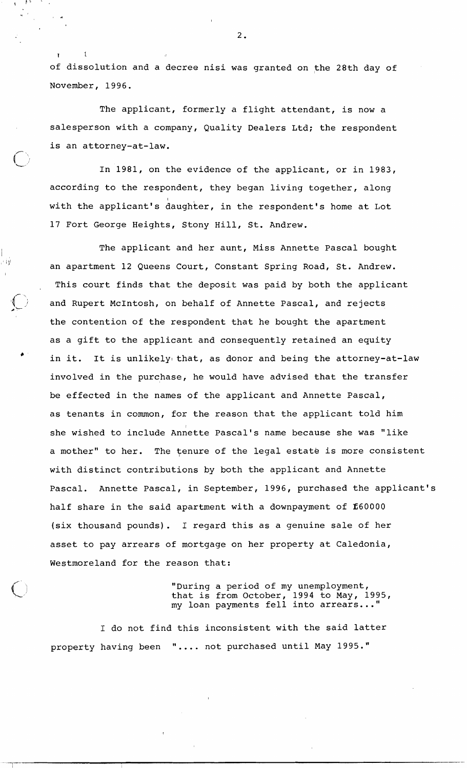of dissolution and a decree nisi was granted on the 28th day of November, 1996.

The applicant, formerly a flight attendant, is now a salesperson with a company, Quality Dealers Ltd; the respondent is an attorney-at-law.

 $\cdot$  -  $\cdot$   $\cdot$ 

 $\mathbf{I}$ 

 $\mathbf{r}$ 

,  $\pm$  i  $\vec{y}$ 

In 1981, on the evidence of the applicant, or in 1983, according to the respondent, they began living together, along with the applicant's daughter, in the respondent's home at Lot 17 Fort George Heights, Stony Hill, St. Andrew.

The applicant and her aunt, Miss Annette Pascal bought an apartment 12 Queens Court, Constant Spring Road, St. Andrew. This court finds that the deposit was paid by both the applicant and Rupert McIntosh, on behalf of Annette Pascal, and rejects the contention of the respondent that he bought the apartment as a gift to the applicant and consequently retained an equity in it. It is unlikely that, as donor and being the attorney-at-law involved in the purchase, he would have advised that the transfer be effected in the names of the applicant and Annette Pascal, as tenants in common, for the reason that the applicant told him she wished to include Annette Pascal's name because she was "like a mother" to her. The tenure of the legal estate is more consistent with distinct contributions by both the applicant and Annette Pascal. Annette Pascal, in September, 1996, purchased the applicant's half share in the said apartment with a downpayment of E60000 (six thousand pounds). I regard this as a genuine sale of her asset to pay arrears of mortgage on her property at Caledonia, Westmoreland for the reason that:

> "During a period of my unemployment, that is from October, 1994 to May, 1995, my loan payments fell into arrears ..."

I do not find this inconsistent with the said latter property having been ".... not purchased until May 1995."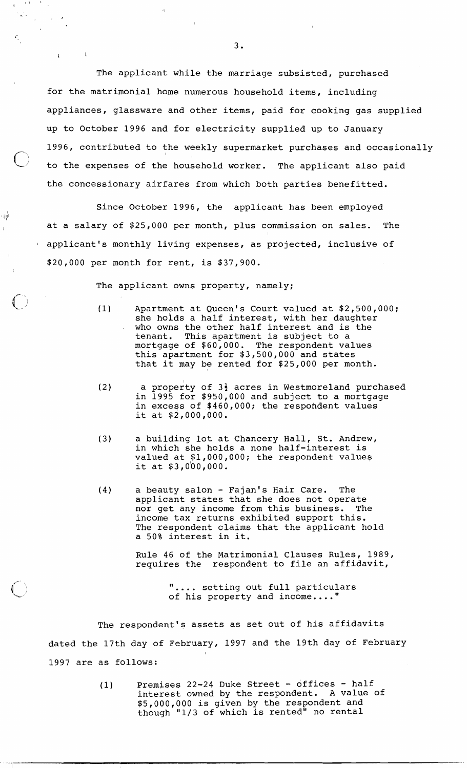The applicant while the marriage subsisted, purchased for the matrimonial home numerous household items, including appliances, glassware and other items, paid for cooking gas supplied up to October 1996 and for electricity supplied up to January 1996, contributed to the weekly supermarket purchases and occasionally to the expenses of the household worker. The applicant also paid the concessionary airfares from which both parties benefitted.

Since October 1996, the applicant has been employed at a salary of \$25,000 per month, plus commission on sales. The applicant's monthly living expenses, as projected, inclusive of \$20,000 per month for rent, is \$37,900.

The applicant owns property, namely;

' i(J1

 $\chi(\Lambda) = \Lambda$  .

 $\sim 10^{-10}$ 

 $\mathbf{L}$ 

 $\mathcal{F}_{\mathbf{q}}$  .  $\frac{1}{\sqrt{2}}$ 

I

- (1 Apartment at Queen's Court valued at \$2,500,000; she holds a half interest, with her daughter who owns the other half interest and is the tenant. This apartment is subject to a mortgage of \$60,000. The respondent values this apartment for \$3,500,000 and states that it may be rented for \$25,000 per month.
- (2) a property of 34 acres in Westmoreland purchased in 1995 for \$950,000 and subject to a mortgage in excess of \$460,000; the respohdent values it at \$2,000,000.
- (3) a building lot at Chancery Hall, St. Andrew, in which she holds a none half-interest is valued at \$1,000,000; the respondent values it at  $$3,0'00,000$ .
- (4) a beauty salon Fajan's Hair Care. The applicant states that she does not operate nor get any income from this business. The income tax returns exhibited support this. The respondent claims that the applicant hold a 50% interest in it.

Rule 46 of the Matrimonial Clauses Rules, 1989, requires the respondent to file an affidavit,

> ".... setting out full particulars of his property and income...."

The respondent's assets as set out of his affidavits dated the 17th day of February, 1997 and the 19th day of February 1997 are as follows:

> (1) Premises 22-24 Duke Street - offices - half interest owned by the respondent. A value of \$5,000,000 is given by the respondent and though "1/3 of which is rented" no rental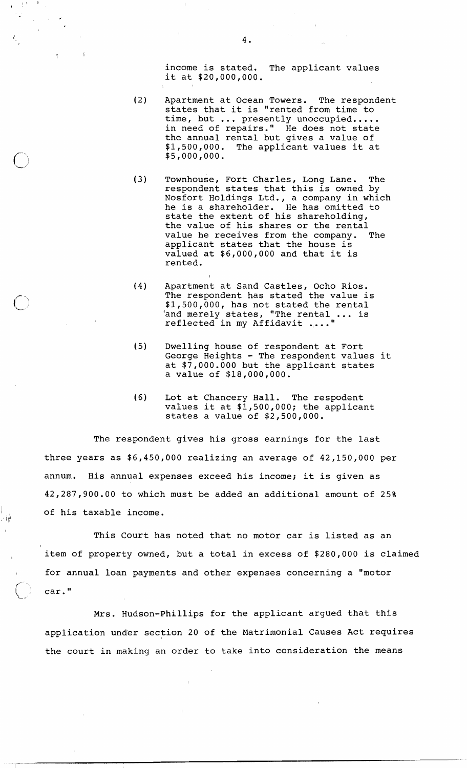income is stated. The applicant values it at \$20,000,000.

- (2) Apartment at Ocean Towers. The respondent states that it is "rented from time to states that it is "rented from time to<br>time, but ... presently unoccupied.....<br>in need of repairs." He does not state the annual rental but gives a value of \$1,500,000. The applicant values it at \$5,000,000.
- (3) Townhouse, Fort Charles, Long Lane. The respondent states that this is owned by Nosfort Holdings Ltd., a company in which he is a shareholder. He has omitted to state the extent of his shareholding, the value of his shares or the rental value he receives from the company. The applicant states that the house is valued at \$6,000,000 and that it is rented.
- (4) Apartment at Sand Castles, Ocho Rios. The respondent has stated the value is \$1,500,000, has not stated the rental 'and merely states, "The rental . . . is reflected in my Affidavit
- (5) Dwelling house of respondent at Fort George Heights - The respondent values it at \$7,000.000 but the applicant states a value of \$18,000,000.
- (6) Lot at Chancery Hall. The respodent values it at  $$1,500,000;$  the applicant states a value of \$2,500,000.

The respondent gives his gross earnings for the last three years as \$6,450,000 realizing an average of 42,150,000 per annum. His annual expenses exceed his income; it is given as 42,287,900.00 to which must be added an additional amount of 25% of his taxable income.

 $\frac{1}{2}$ i $\frac{1}{2}$ 

f

 $\blacksquare$  $\pm$   $\Lambda$ 

> This Court has noted that no motor car is listed as an item of property owned, but a total in excess of \$280,000 is claimed for annual loan payments and other expenses concerning a "motor car."

Mrs. Hudson-Phillips for the applicant argued that this application under section 20 of the Matrimonial Causes Act requires the court in making an order to take into consideration the means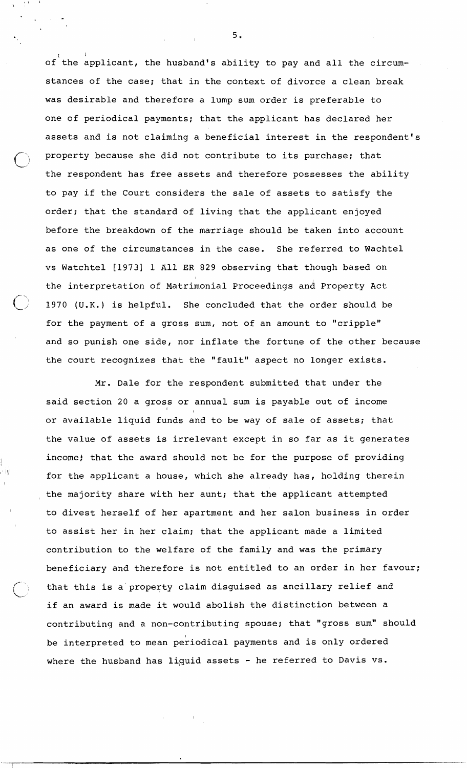of the applicant, the husband's ability to pay and all the circumstances of the case; that in the context of divorce a clean break was desirable and therefore a lump sum order is preferable to one of periodical payments; that the applicant has declared her assets and is not claiming a beneficial interest in the respondent's property because she did not contribute to its purchase; that the respondent has free assets and therefore possesses the ability to pay if the Court considers the sale of assets to satisfy the order; that the standard of living that the applicant enjoyed before the breakdown of the marriage should be taken into account as one of the circumstances in the case. She referred to Wachtel vs Watchtel [I9731 1 A11 **ER** 829 observing that though based on the interpretation of Matrimonial Proceedings and Property Act 1, 1970 **(U.K.)** is helpful. She concluded that the order should be for the payment of a gross sum, not of an amount to "cripple" and so punish one side, nor inflate the fortune of the other because the court recognizes that the "fault" aspect no longer exists.

**L,** 

,,- ..

I

 $\bigcup$ 

Mr. Dale for the respondent submitted that under the said section 20 a gross or annual sum is payable out of income or available liquid funds and to be way of sale of assets; that the value of assets is irrelevant except in so far as it generates income; that the award should not be for the purpose of providing for the applicant a house, which she already has, holding therein the majority share with her aunt; that the applicant attempted to divest herself of her apartment and her salon business in order to assist her in her claim; that the applicant made a limited contribution to the welfare of the family and was the primary beneficiary and therefore is not entitled to an order in her favour; that this is a property claim disguised as ancillary relief and if an award is made it would abolish the distinction between a contributing and a non-contributing spouse; that "gross sum'' should be interpreted to mean periodical payments and is only ordered where the husband has liquid assets - he referred to Davis vs.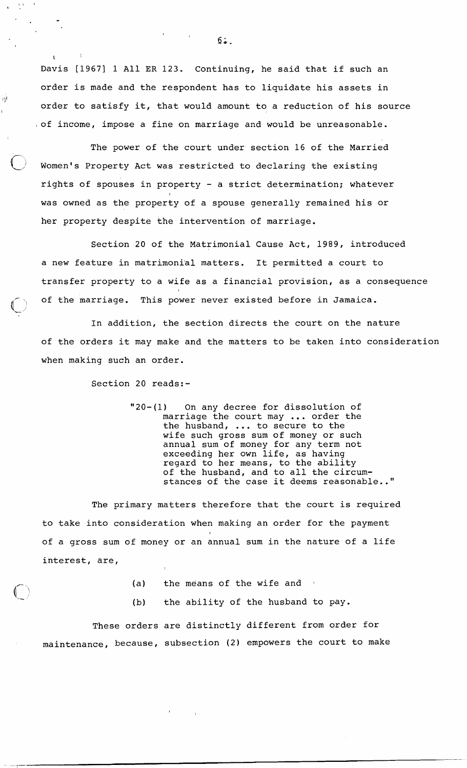Davis [1967] 1 All ER 123. Continuing, he said that if such an order is made and the respondent has to liquidate his assets in order to satisfy it, that would amount to a reduction of his source ,of income, impose a fine on marriage and would be unreasonable.

The power of the court under section 16 of the Married Women's Property Act was restricted to declaring the existing rights of spouses in property - a strict determination; whatever was owned as the property of a spouse generally remained his or her property despite the intervention of marriage.

Section 20 of the Matrimonial Cause Act, 1989, introduced a new feature in matrimoni'al matters. It permitted a court to transfer property to a wife as a financial provision, as a consequence of the marriage. This power never existed before in Jamaica.

In addition, the section directs the court on the nature of the orders it may make and the matters to be taken into consideration when making such an order.

Section 20 reads:-

 $\mathbf{I} = \begin{bmatrix} 1 \\ 1 \end{bmatrix}$ 

i lll

"20-(1) On any decree for dissolution of marriage the court may ... order the the husband, ... to secure to the wife such gross sum of money or such annual sum of money for any term not exceeding her own life, as having regard to her means, to the ability of the husband, and to all the circumstances of the case it deems reasonable.."

The primary matters therefore that the court is required to take into consideration when making an order for the payment of a gross sum of money or an annual sum in the nature of a life interest, are,

- (a) the means of the wife and
- (b) the ability of the husband to pay.

These orders are distinctly different from order for maintenance, because, subsection (2) empowers the court to make

 $6.$ 

 $\mathbf{U}$  and  $\mathbf{U}$  and  $\mathbf{U}$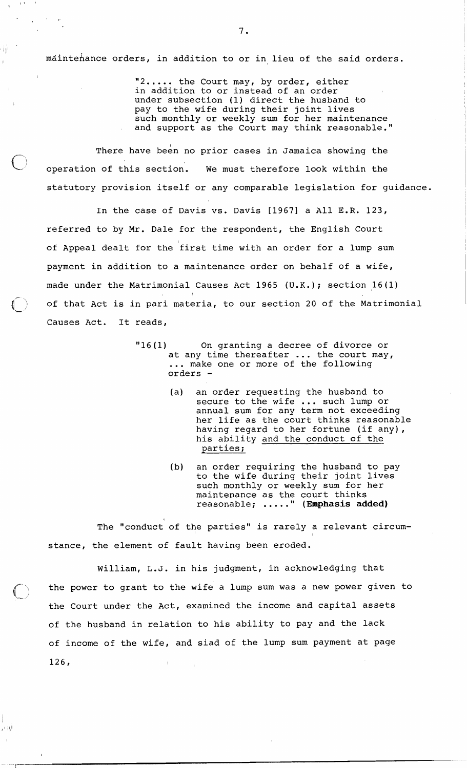maintenance orders, in addition to or in lieu of the said orders.

Ϊÿ

ان د ډ

"2..... the Court may, by order, either in addition to or instead of an order under subsection (1) direct the husband to pay to the wife during their joint lives such monthly or weekly sum for her maintenance and support as the Court may think reasonable."

There have been no prior cases in Jamaica showing the operation of this section. We must therefore look within the statutory provision itself or any comparable legislation for guidance.

In the case of Davis vs. Davis [1967] a All E.R. 123, referred to by Mr. Dale for the respondent, the English Court of Appeal dealt for the first time with an order for a lump sum payment in addition to a maintenance order on behalf of a wife, made under the Matrimonial Causes Act 1965 (U.K.); section 16(1) I of that Act is in pari materia, to our section 20 of the Matrimonial Causes Act. It reads,

- "16 (1) On granting a decree of divorce or at any time thereafter ... the court may, ... make one or more of the following orders -
	- (a) an order requesting the husband to secure to the wife ... such lump or annual sum for any term not exceeding her life as the court thinks reasonable having regard to her fortune (if any),<br>his ability and the conduct of the<br>parties; his ability and the conduct of the
	- (b) an order requiring the husband to pay to the wife during their joint lives sueh monthly or weekly sum for her maintenance as the court thinks<br>reasonable; ....." (Emphasis added)

The "conduct of the parties" is rarely a relevant circumstance, the element of fault having been eroded.

William, L.J. in his judgment, in acknowledging that the power to grant to the wife a lump sum was a new power given to the Court under the Act, examined the income and capital assets of the husband in relation to his ability to pay and the lack of income of the wife, and siad of the lump sum payment at page 126,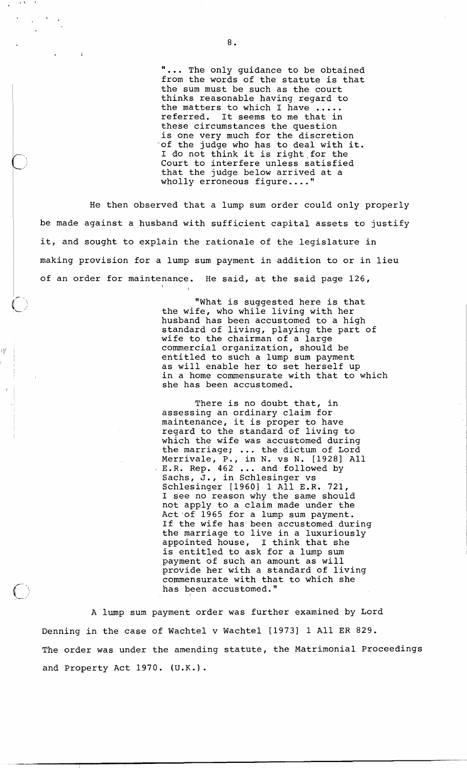"... The only guidance to be obtained from the words of the statute is that the sum must be such as the court thinks reasonable having regard to<br>the matters to which I have ..... referred. It seems to me that in these circumstances the question is one very much for the discretion "of the judge who has to deal with it. of the judge who has to deal with i<br>I do not think it is right for the Court to interfere unless satisfied that the judge below arrived at a wholly erroneous figure...."

He then observed that a lump sum order could only properly be made against a husband with sufficient capital assets to justify it, and sought to explain the rationale of the legislature in making provision for a lump sum payment in addition to or in lieu of an order for maintenance. He said, at the said page 126,

I

ijİ

"What is suggested here is that the wife, who while living with her husband has been accustomed to a high standard of living, playing the part of wife to the chairman of a large commercial organization, should be entitled to such a lump sum payment as will enable her to set herself up in a home commensurate with that to which she has been accustomed.

There is no doubt that, in assessing an ordinary claim for maintenance, it is proper to have regard to the standard of living to which the wife was accustomed during which the wife was accustomed during<br>the marriage; ... the dictum of Lord Merrivale, P., in N. vs N. [1928] All<br>E.R. Rep. 462 ... and followed by Sachs, J., in Schlesinger vs Schlesinger [1960] 1 All E.R. 721, I see no reason why the same should not apply to a claim made under the Act 'of 1965 for a lump sum payment. If the wife has been accustomed during the marriage to live in a luxuriously appointed house, I think that she is entitled to ask for a lump sum payment of such an amount as will provide her with a standard of living commensurate with that to which she has been accustomed."

A lump sum payment order was further examined by Lord Denning in the case of Wachtel v Wachtel [1973] 1 All ER 829. The order was under the amending statute, the Matrimonial Proceedings and Property Act 1970. **(U.K.).**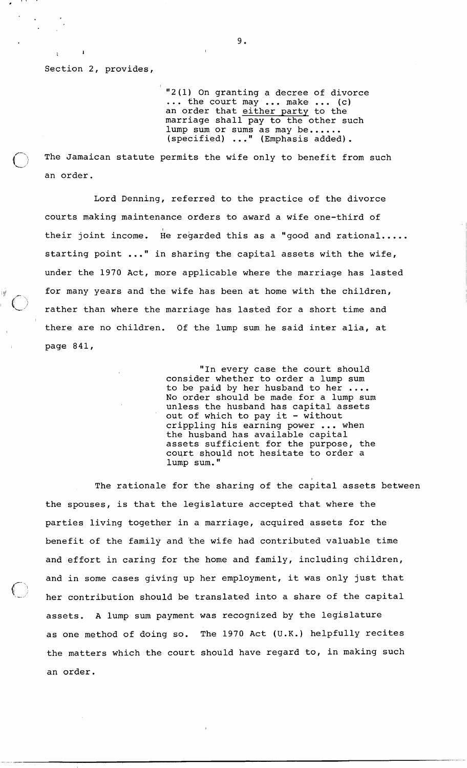Section 2, provides,

I

"2(1) On granting a decree of divorce<br>... the court may ... make ... (c) an order that either party to the marriage shall pay to the other such lump sum or sums as may be...... (specified) ..." (Emphasis added).

The Jamaican statute permits the wife only to benefit from such an order.

Lord Denning, referred to the practice of the divorce courts making maintenance orders to award a wife one-third of their joint income. He regarded this as a "good and rational.... starting point ..." in sharing the capital assets with the wife, under the 1970 Act, more applicable where the marriage has lasted for many years and the wife has been at home with the children,<br>rather than where the marriage has lasted for a short time and there are no children. Of the lump sum he said inter alia, at page 841,

> "In every case the court should consider whether to order a lump sum to be paid by her husband to her ....<br>No order should be made for a lump sum unless the husband has capital assets out of which to pay it  $-$  without crippling his earning power ... when the husband has available capital assets sufficient for the purpose, the coyrt should not hesitate to order a lump sum."

The rationale for the sharing of the capital assets between the spouses, is that the legislature accepted that where the parties living together in a marriage, acquired assets for the benefit of the family and the wife had contributed valuable time and effort in caring for the home and family, including children, and in some cases giving up her employment, it was only just that<br>her contribution should be translated into a share of the capital assets. A lump sum payment was recognized by the legislature as one method of doing so. The 1970 Act (U.K.) helpfully recites the matters which the court should have regard to, in making such an order.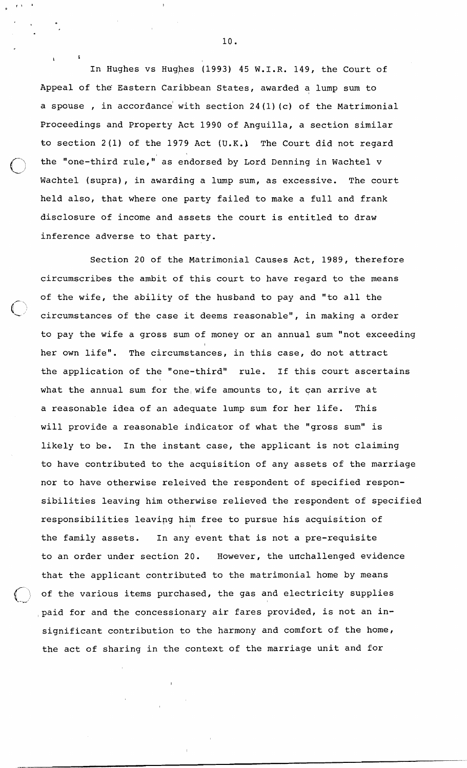In Hughes vs Hughes (1993) 45 W.I.R. 149, the Court of Appeal of the Eastern Caribbean States, awarded a lump sum to a spouse , in accordance with section  $24(1)(c)$  of the Matrimonial Proceedings and Property Act 1990 of Anguilla, a section similar to section 2(1) of the 1979 Act **(U.K.)** The Court did not regard the "one-third rule," as endorsed by Lord Denning in Wachtel v Wachtel (supra), in awarding a lump sum, as excessive. The court held also, that where one party failed to make a full and frank disclosure of income and assets the court is entitled to draw inference adverse to that party.

Section 20 of the Matrimonial Causes Act, 1989, therefore circumscribes the ambit of this court to have regard to the means of the wife, the ability of the husband to pay and "to all the circumstances of the case it deems reasonable", in making a order to pay the wife a gross sum of money or an annual sum "not exceeding her own life". The circumstances, in this case, do not attract the application of the "one-third" rule. If this court ascertains what the annual sum for the wife amounts to, it can arrive at a reasonable idea of an adequate lump sum for her life. This will provide a reasonable indicator of what the "gross sum" is likely to be. In the instant case, the applicant is not claiming to have contributed to the acquisition of any assets of the marriage nor to have otherwise releived the respondent of specified responsibilities leaving him otherwise relieved the respondent of specified responsibilities leaving him free to pursue his acquisition of the family assets. In any event that is not a pre-requisite to an order under section 20. However, the unchallenged evidence that the applicant contributed to the matrimonial home by means of the various items purchased, the gas and electricity supplies  $\bigcup$ paid for and the concessionary air fares provided, is not an insignificant contribution to the harmony and comfort of the home, the act of sharing in the context of the marriage unit and for

10.

**<sup>I</sup>I**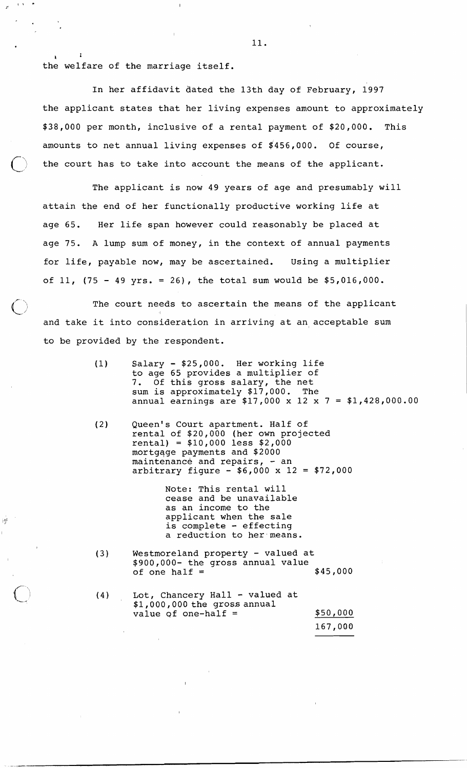**I <sup>I</sup>** the welfare of the marriage itself.

**L,** 

淨

In her affidavit dated the 13th day of February, 1997 the applicant states that her living expenses amount to approximately \$38,000 per month, inclusive of a rental payment of \$20,000. This amounts to net annual living expenses of \$456,000. Of course, the court has to take into account the means of the applicant.

The applicant is now 49 years of age and presumably will attain the end of her functionally productive working life at age 65. Her life span however could reasonably be placed at age 75. A lump sum of money, in the context of annual payments for life, payable now, may be ascertained. using a multiplier of 11, (75 - 49 yrs. = 26), the total sum would be \$5,016,000.

The court needs to ascertain the means of the applicant  $\mathbf{U}$  is a set of the set of the set of the set of the set of the set of the set of the set of the set of the set of the set of the set of the set of the set of the set of the set of the set of the set of the set of th and take it into consideration in arriving at an, acceptable sum to be provided by the respondent.

- (1) Salary  $-$  \$25,000. Her working life to age 65 provides a multiplier of 7. Of this gross salary, the net sum is approximately \$17,000. The annual earnings are \$17,000 x 12 x 7 = \$1,428,000.00
- (2) Queen's Court apartment. Half of rental of \$20,000 (her own projected rental) = \$10,000 less \$2,000 mortgqge payments and \$2000 maintenance and repairs,  $-$  an arbitrary figure  $-$  \$6,000 x 12 = \$72,000

Note: This rental will cease and be unavailable as an income to the applicant when the sale is complete - effecting a reduction to her means.

(3) Westmoreland property - valued at  $$900,000-$  the gross annual value<br>of one half =  $$45,000$ of one half  $=$ 

| (4) | Lot, Chancery Hall - valued at<br>\$1,000,000 the gross annual |          |
|-----|----------------------------------------------------------------|----------|
|     | value of one-half $=$                                          | \$50,000 |
|     |                                                                | 167,000  |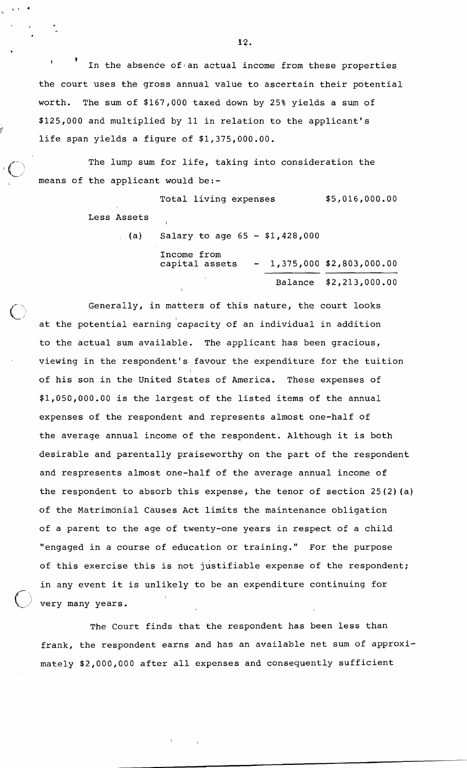*<sup>I</sup>***I**  In the absende of an actual income from these properties the court uses the gross annual value to ascertain their potential worth. The sum of \$167,000 taxed down by 25% yields a sum of \$125,000 and multiplied by 11 in relation to the applicant's life span yields a figure of \$1,375,000.00.

The lump sum for life, taking into consideration the means of the applicant would be:-

I

Ill

**YL J'** 

\*-,

Total living expenses  $$5,016,000.00$ Less Assets **t** 

(a) Salary to age  $65 - $1,428,000$ Income from<br>capital assets  $- 1,375,000 \t $2,803,000.00$ Balance \$2,213,000.00

Generally, in matters of this nature, the court looks at the potential earning 'capacity of an individual in addition to the actual sum available. The applicant has been gracious, viewing in the respondent's favour the expenditure for the tuition of his son in the United States of America. These expenses of \$1,050,000.00 is the largest of the listed items of the annual expenses of the respondent and represents almost one-half of the average annual income of the respondent. Although it is both desirable and parentally praiseworthy on the part of the respondent and respresents almost one-half of the average annual income of the respondent to absorb this expense, the tenor of section 25(2)(a) of the Matrimonial Causes Act limits the maintenance obligation of a parent to the age of twenty-one years in respect of a child "engaged in a course of education or training." For the purpose of this exercise this is not justifiable expense of the respondent; in any event it is unlikely to be an expenditure continuing for very many years.

The Court finds that the respondent has been less than frank, the respondent earns and has an available net sum of approximately \$2,000,000 after all expenses and consequently sufficient